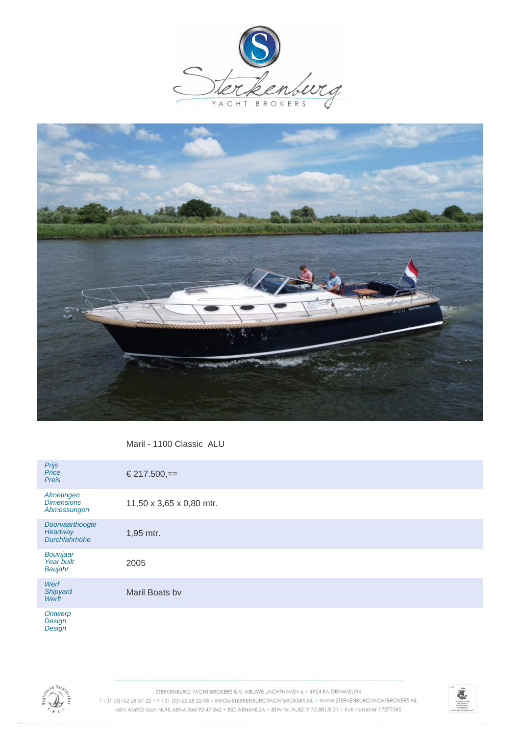



Maril - 1100 Classic ALU

| Prijs<br>Price<br><b>Preis</b>                 | € 217.500,==             |
|------------------------------------------------|--------------------------|
| Afmetingen<br><b>Dimensions</b><br>Abmessungen | 11,50 x 3,65 x 0,80 mtr. |
| Doorvaarthoogte<br>Headway<br>Durchfahrhöhe    | 1,95 mtr.                |
| Bouwjaar<br>Year built<br>Baujahr              | 2005                     |
| Werf<br>Shipyard<br>Werft                      | Maril Boats by           |
| Ontwerp<br>Donian                              |                          |

**Design Design** 



STERKENBURG YACHT BROKERS B.V. NIEUWE JACHTHAVEN 6 · 4924 BA DRIMMELEN T+31 (0)162 68 57 22 · F+31 (0)162 68 22 98 · INFO@STERKENBURGYACHTBROKERS.NL · WWW.STERKENBURGYACHTBROKERS.NL ABN AMRO Iban NL98 ABNA 045 92 47 042 . BIC ABNANL2A . BTW-Nr. NL8219.72.881.B.01 . KvK-nummer 17277345

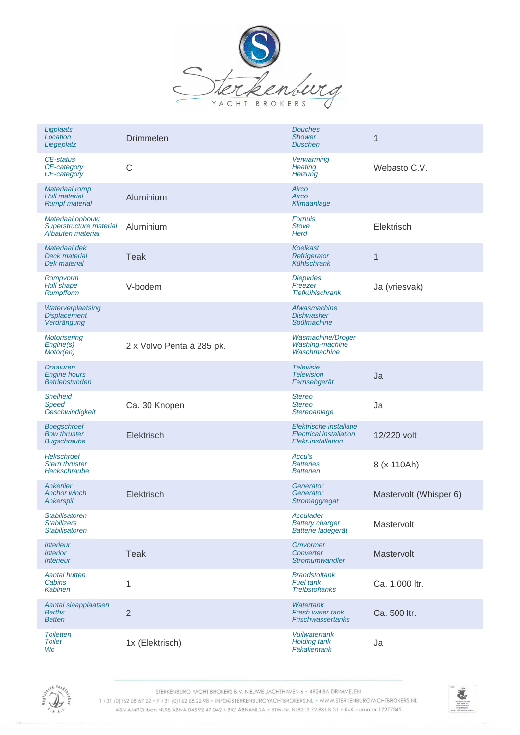

| Ligplaats<br>Location<br>Liegeplatz                                          | <b>Drimmelen</b>          | <b>Douches</b><br><b>Shower</b><br><b>Duschen</b>                               | $\mathbf 1$            |
|------------------------------------------------------------------------------|---------------------------|---------------------------------------------------------------------------------|------------------------|
| CE-status<br>CE-category<br>CE-category                                      | $\mathsf{C}$              | Verwarming<br>Heating<br>Heizung                                                | Webasto C.V.           |
| <b>Materiaal romp</b><br><b>Hull material</b><br><b>Rumpf material</b>       | Aluminium                 | Airco<br>Airco<br>Klimaanlage                                                   |                        |
| Materiaal opbouw<br>Superstructure material<br>Afbauten material             | Aluminium                 | <b>Fornuis</b><br><b>Stove</b><br><b>Herd</b>                                   | Elektrisch             |
| Materiaal dek<br><b>Deck material</b><br><b>Dek material</b>                 | <b>Teak</b>               | <b>Koelkast</b><br>Refrigerator<br>Kühlschrank                                  | $\mathbf{1}$           |
| Rompvorm<br>Hull shape<br><b>Rumpfform</b>                                   | V-bodem                   | <b>Diepvries</b><br>Freezer<br><b>Tiefkühlschrank</b>                           | Ja (vriesvak)          |
| Waterverplaatsing<br><b>Displacement</b><br>Verdrängung                      |                           | Afwasmachine<br><b>Dishwasher</b><br>Spülmachine                                |                        |
| <b>Motorisering</b><br>Engine(s)<br>Motor(en)                                | 2 x Volvo Penta à 285 pk. | Wasmachine/Droger<br>Washing-machine<br>Waschmachine                            |                        |
| <b>Draaiuren</b><br><b>Engine hours</b><br><b>Betriebstunden</b>             |                           | <b>Televisie</b><br><b>Television</b><br>Fernsehgerät                           | Ja                     |
| <b>Snelheid</b><br>Speed<br>Geschwindigkeit                                  | Ca. 30 Knopen             | <b>Stereo</b><br><b>Stereo</b><br>Stereoanlage                                  | Ja                     |
| <b>Boegschroef</b><br><b>Bow thruster</b><br><b>Bugschraube</b>              | Elektrisch                | Elektrische installatie<br><b>Electrical installation</b><br>Elekr.installation | 12/220 volt            |
| <b>Hekschroef</b><br><b>Stern thruster</b><br>Heckschraube                   |                           | Accu's<br><b>Batteries</b><br><b>Batterien</b>                                  | 8 (x 110Ah)            |
| Ankerlier<br><b>Anchor winch</b><br>Ankerspil                                | Elektrisch                | Generator<br>Generator<br>Stromaggregat                                         | Mastervolt (Whisper 6) |
| Stabilisatoren<br><b>Stabilizers</b><br><b>Stabilisatoren</b>                |                           | Acculader<br><b>Battery charger</b><br>Batterie ladegerät                       | Mastervolt             |
| <i><b>Interieur</b></i><br><b>Interior</b><br><i><u><b>Interieur</b></u></i> | Teak                      | Omvormer<br>Converter<br>Stromumwandler                                         | Mastervolt             |
| <b>Aantal hutten</b><br>Cabins<br><b>Kabinen</b>                             | 1                         | <b>Brandstoftank</b><br><b>Fuel tank</b><br><b>Treibstoftanks</b>               | Ca. 1.000 ltr.         |
| Aantal slaapplaatsen<br><b>Berths</b><br><b>Betten</b>                       | $\overline{2}$            | <b>Watertank</b><br>Fresh water tank<br><b>Frischwassertanks</b>                | Ca. 500 ltr.           |
| <b>Toiletten</b><br><b>Toilet</b><br>Wc                                      | 1x (Elektrisch)           | <b>Vuilwatertank</b><br><b>Holding tank</b><br>Fäkalientank                     | Ja                     |



STERKENBURG YACHT BROKERS B.V. NIEUWE JACHTHAVEN 6 · 4924 BA DRIMMELEN

T+31 (0)162 68 57 22 · F+31 (0)162 68 22 98 · INFO@STERKENBURGYACHTBROKERS.NL · WWW.STERKENBURGYACHTBROKERS.NL ABN AMRO Iban NL98 ABNA 045 92 47 042 . BIC ABNANL2A . BTW-Nr. NL8219.72.881.B.01 . KvK-nummer 17277345